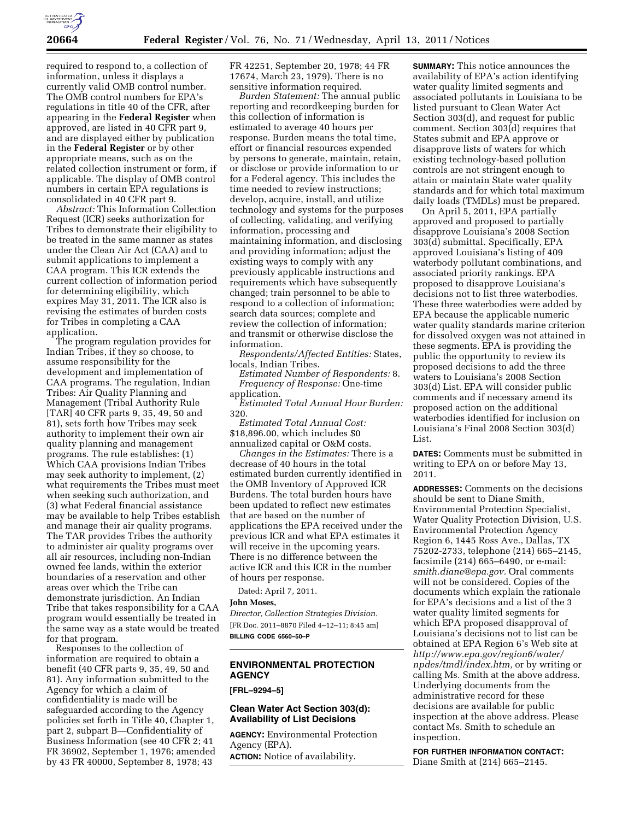

required to respond to, a collection of information, unless it displays a currently valid OMB control number. The OMB control numbers for EPA's regulations in title 40 of the CFR, after appearing in the **Federal Register** when approved, are listed in 40 CFR part 9, and are displayed either by publication in the **Federal Register** or by other appropriate means, such as on the related collection instrument or form, if applicable. The display of OMB control numbers in certain EPA regulations is consolidated in 40 CFR part 9.

*Abstract:* This Information Collection Request (ICR) seeks authorization for Tribes to demonstrate their eligibility to be treated in the same manner as states under the Clean Air Act (CAA) and to submit applications to implement a CAA program. This ICR extends the current collection of information period for determining eligibility, which expires May 31, 2011. The ICR also is revising the estimates of burden costs for Tribes in completing a CAA application.

The program regulation provides for Indian Tribes, if they so choose, to assume responsibility for the development and implementation of CAA programs. The regulation, Indian Tribes: Air Quality Planning and Management (Tribal Authority Rule [TAR] 40 CFR parts 9, 35, 49, 50 and 81), sets forth how Tribes may seek authority to implement their own air quality planning and management programs. The rule establishes: (1) Which CAA provisions Indian Tribes may seek authority to implement, (2) what requirements the Tribes must meet when seeking such authorization, and (3) what Federal financial assistance may be available to help Tribes establish and manage their air quality programs. The TAR provides Tribes the authority to administer air quality programs over all air resources, including non-Indian owned fee lands, within the exterior boundaries of a reservation and other areas over which the Tribe can demonstrate jurisdiction. An Indian Tribe that takes responsibility for a CAA program would essentially be treated in the same way as a state would be treated for that program.

Responses to the collection of information are required to obtain a benefit (40 CFR parts 9, 35, 49, 50 and 81). Any information submitted to the Agency for which a claim of confidentiality is made will be safeguarded according to the Agency policies set forth in Title 40, Chapter 1, part 2, subpart B—Confidentiality of Business Information (see 40 CFR 2; 41 FR 36902, September 1, 1976; amended by 43 FR 40000, September 8, 1978; 43

FR 42251, September 20, 1978; 44 FR 17674, March 23, 1979). There is no sensitive information required.

*Burden Statement:* The annual public reporting and recordkeeping burden for this collection of information is estimated to average 40 hours per response. Burden means the total time, effort or financial resources expended by persons to generate, maintain, retain, or disclose or provide information to or for a Federal agency. This includes the time needed to review instructions; develop, acquire, install, and utilize technology and systems for the purposes of collecting, validating, and verifying information, processing and maintaining information, and disclosing and providing information; adjust the existing ways to comply with any previously applicable instructions and requirements which have subsequently changed; train personnel to be able to respond to a collection of information; search data sources; complete and review the collection of information; and transmit or otherwise disclose the information.

*Respondents/Affected Entities:* States, locals, Indian Tribes.

*Estimated Number of Respondents:* 8. *Frequency of Response:* One-time application.

*Estimated Total Annual Hour Burden:*  320.

*Estimated Total Annual Cost:*  \$18,896.00, which includes \$0 annualized capital or O&M costs.

*Changes in the Estimates:* There is a decrease of 40 hours in the total estimated burden currently identified in the OMB Inventory of Approved ICR Burdens. The total burden hours have been updated to reflect new estimates that are based on the number of applications the EPA received under the previous ICR and what EPA estimates it will receive in the upcoming years. There is no difference between the active ICR and this ICR in the number of hours per response.

Dated: April 7, 2011.

## **John Moses,**

*Director, Collection Strategies Division.*  [FR Doc. 2011–8870 Filed 4–12–11; 8:45 am] **BILLING CODE 6560–50–P** 

# **ENVIRONMENTAL PROTECTION AGENCY**

**[FRL–9294–5]** 

#### **Clean Water Act Section 303(d): Availability of List Decisions**

**AGENCY:** Environmental Protection Agency (EPA).

**ACTION:** Notice of availability.

**SUMMARY:** This notice announces the availability of EPA's action identifying water quality limited segments and associated pollutants in Louisiana to be listed pursuant to Clean Water Act Section 303(d), and request for public comment. Section 303(d) requires that States submit and EPA approve or disapprove lists of waters for which existing technology-based pollution controls are not stringent enough to attain or maintain State water quality standards and for which total maximum daily loads (TMDLs) must be prepared.

On April 5, 2011, EPA partially approved and proposed to partially disapprove Louisiana's 2008 Section 303(d) submittal. Specifically, EPA approved Louisiana's listing of 409 waterbody pollutant combinations, and associated priority rankings. EPA proposed to disapprove Louisiana's decisions not to list three waterbodies. These three waterbodies were added by EPA because the applicable numeric water quality standards marine criterion for dissolved oxygen was not attained in these segments. EPA is providing the public the opportunity to review its proposed decisions to add the three waters to Louisiana's 2008 Section 303(d) List. EPA will consider public comments and if necessary amend its proposed action on the additional waterbodies identified for inclusion on Louisiana's Final 2008 Section 303(d) List.

**DATES:** Comments must be submitted in writing to EPA on or before May 13, 2011.

**ADDRESSES:** Comments on the decisions should be sent to Diane Smith, Environmental Protection Specialist, Water Quality Protection Division, U.S. Environmental Protection Agency Region 6, 1445 Ross Ave., Dallas, TX 75202-2733, telephone (214) 665–2145, facsimile (214) 665–6490, or e-mail: *[smith.diane@epa.gov.](mailto:smith.diane@epa.gov)* Oral comments will not be considered. Copies of the documents which explain the rationale for EPA's decisions and a list of the 3 water quality limited segments for which EPA proposed disapproval of Louisiana's decisions not to list can be obtained at EPA Region 6's Web site at *[http://www.epa.gov/region6/water/](http://www.epa.gov/region6/water/npdes/tmdl/index.htm) [npdes/tmdl/index.htm,](http://www.epa.gov/region6/water/npdes/tmdl/index.htm)* or by writing or calling Ms. Smith at the above address. Underlying documents from the administrative record for these decisions are available for public inspection at the above address. Please contact Ms. Smith to schedule an inspection.

**FOR FURTHER INFORMATION CONTACT:**  Diane Smith at (214) 665–2145.